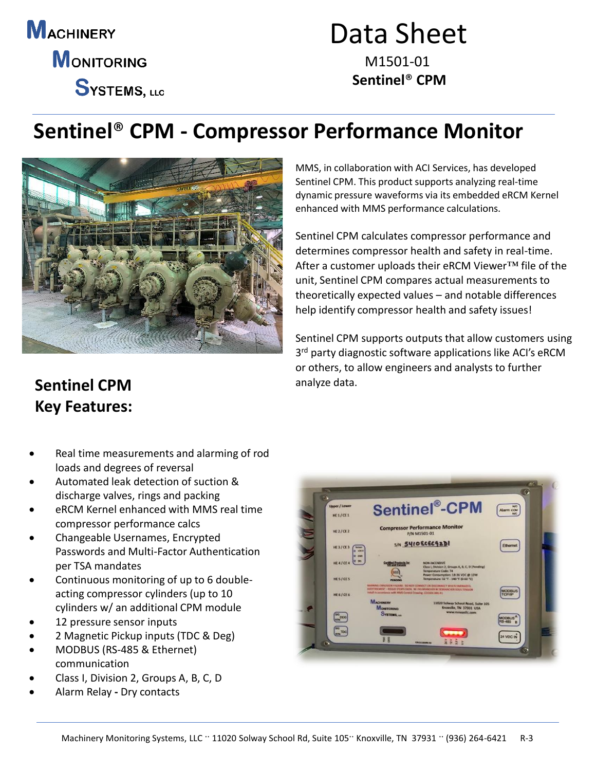**MACHINERY MONITORING SYSTEMS, LLC** 

# Data Sheet

M1501-01 **Sentinel**® **CPM**

### **Sentinel**® **CPM - Compressor Performance Monitor**



MMS, in collaboration with ACI Services, has developed Sentinel CPM. This product supports analyzing real-time dynamic pressure waveforms via its embedded eRCM Kernel enhanced with MMS performance calculations.

Sentinel CPM calculates compressor performance and determines compressor health and safety in real-time. After a customer uploads their eRCM Viewer™ file of the unit, Sentinel CPM compares actual measurements to theoretically expected values – and notable differences help identify compressor health and safety issues!

Sentinel CPM supports outputs that allow customers using 3<sup>rd</sup> party diagnostic software applications like ACI's eRCM or others, to allow engineers and analysts to further analyze data.

#### **Sentinel CPM Key Features:**

- Real time measurements and alarming of rod loads and degrees of reversal
- Automated leak detection of suction & discharge valves, rings and packing
- eRCM Kernel enhanced with MMS real time compressor performance calcs
- Changeable Usernames, Encrypted Passwords and Multi-Factor Authentication per TSA mandates
- Continuous monitoring of up to 6 doubleacting compressor cylinders (up to 10 cylinders w/ an additional CPM module
- 12 pressure sensor inputs
- 2 Magnetic Pickup inputs (TDC & Deg)
- MODBUS (RS-485 & Ethernet) communication
- Class I, Division 2, Groups A, B, C, D
- Alarm Relay **-** Dry contacts

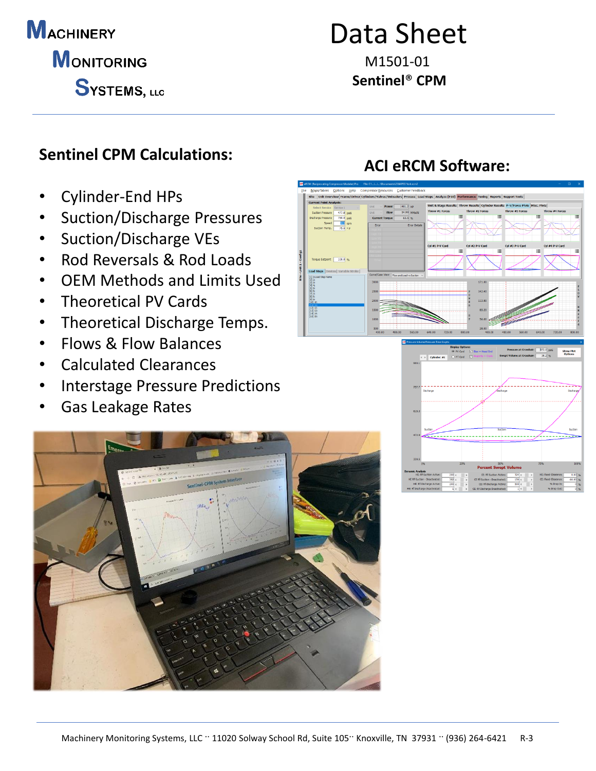## **MACHINERY**

**MONITORING** 

SYSTEMS, LLC

# Data Sheet

M1501-01 **Sentinel**® **CPM**

#### **Sentinel CPM Calculations:**

- Cylinder-End HPs
- Suction/Discharge Pressures
- Suction/Discharge VEs
- Rod Reversals & Rod Loads
- OEM Methods and Limits Used
- Theoretical PV Cards
- Theoretical Discharge Temps.
- Flows & Flow Balances
- Calculated Clearances
- Interstage Pressure Predictions
- Gas Leakage Rates



#### **ACI eRCM Software:**